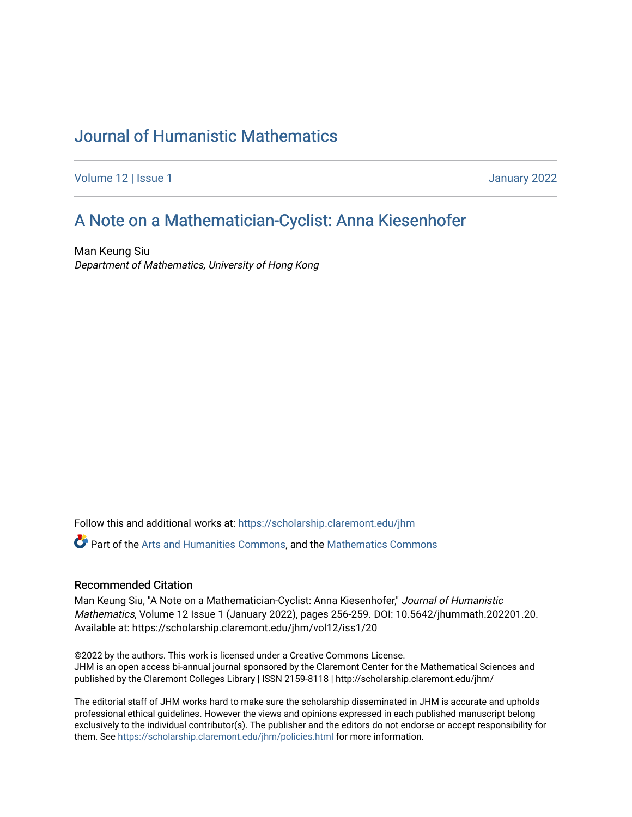# [Journal of Humanistic Mathematics](https://scholarship.claremont.edu/jhm)

[Volume 12](https://scholarship.claremont.edu/jhm/vol12) | Issue 1 January 2022

## [A Note on a Mathematician-Cyclist: Anna Kiesenhofer](https://scholarship.claremont.edu/jhm/vol12/iss1/20)

Man Keung Siu Department of Mathematics, University of Hong Kong

Follow this and additional works at: [https://scholarship.claremont.edu/jhm](https://scholarship.claremont.edu/jhm?utm_source=scholarship.claremont.edu%2Fjhm%2Fvol12%2Fiss1%2F20&utm_medium=PDF&utm_campaign=PDFCoverPages)

Part of the [Arts and Humanities Commons,](http://network.bepress.com/hgg/discipline/438?utm_source=scholarship.claremont.edu%2Fjhm%2Fvol12%2Fiss1%2F20&utm_medium=PDF&utm_campaign=PDFCoverPages) and the [Mathematics Commons](http://network.bepress.com/hgg/discipline/174?utm_source=scholarship.claremont.edu%2Fjhm%2Fvol12%2Fiss1%2F20&utm_medium=PDF&utm_campaign=PDFCoverPages) 

### Recommended Citation

Man Keung Siu, "A Note on a Mathematician-Cyclist: Anna Kiesenhofer," Journal of Humanistic Mathematics, Volume 12 Issue 1 (January 2022), pages 256-259. DOI: 10.5642/jhummath.202201.20. Available at: https://scholarship.claremont.edu/jhm/vol12/iss1/20

©2022 by the authors. This work is licensed under a Creative Commons License. JHM is an open access bi-annual journal sponsored by the Claremont Center for the Mathematical Sciences and published by the Claremont Colleges Library | ISSN 2159-8118 | http://scholarship.claremont.edu/jhm/

The editorial staff of JHM works hard to make sure the scholarship disseminated in JHM is accurate and upholds professional ethical guidelines. However the views and opinions expressed in each published manuscript belong exclusively to the individual contributor(s). The publisher and the editors do not endorse or accept responsibility for them. See<https://scholarship.claremont.edu/jhm/policies.html> for more information.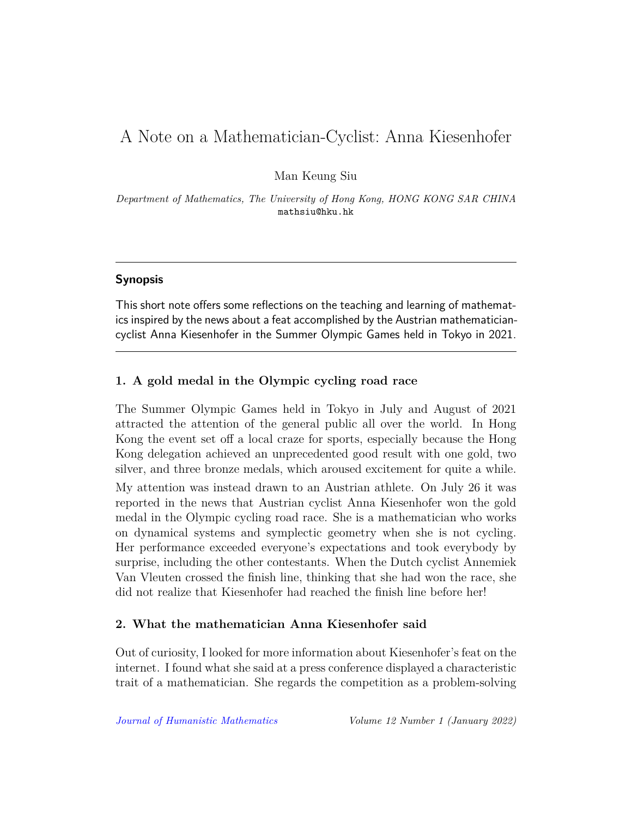# A Note on a Mathematician-Cyclist: Anna Kiesenhofer

Man Keung Siu

*Department of Mathematics, The University of Hong Kong, HONG KONG SAR CHINA* mathsiu@hku.hk

#### **Synopsis**

This short note offers some reflections on the teaching and learning of mathematics inspired by the news about a feat accomplished by the Austrian mathematiciancyclist Anna Kiesenhofer in the Summer Olympic Games held in Tokyo in 2021.

## **1. A gold medal in the Olympic cycling road race**

The Summer Olympic Games held in Tokyo in July and August of 2021 attracted the attention of the general public all over the world. In Hong Kong the event set off a local craze for sports, especially because the Hong Kong delegation achieved an unprecedented good result with one gold, two silver, and three bronze medals, which aroused excitement for quite a while.

My attention was instead drawn to an Austrian athlete. On July 26 it was reported in the news that Austrian cyclist Anna Kiesenhofer won the gold medal in the Olympic cycling road race. She is a mathematician who works on dynamical systems and symplectic geometry when she is not cycling. Her performance exceeded everyone's expectations and took everybody by surprise, including the other contestants. When the Dutch cyclist Annemiek Van Vleuten crossed the finish line, thinking that she had won the race, she did not realize that Kiesenhofer had reached the finish line before her!

## **2. What the mathematician Anna Kiesenhofer said**

Out of curiosity, I looked for more information about Kiesenhofer's feat on the internet. I found what she said at a press conference displayed a characteristic trait of a mathematician. She regards the competition as a problem-solving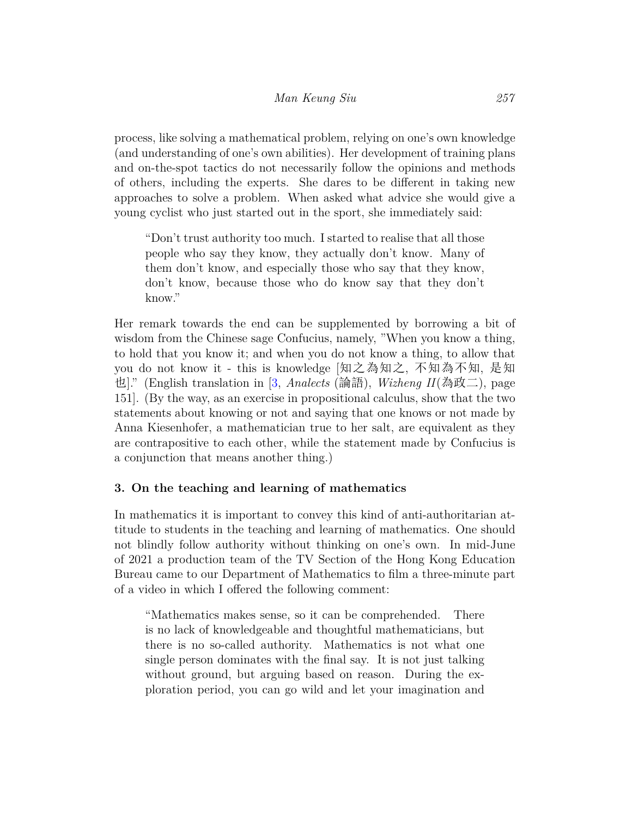process, like solving a mathematical problem, relying on one's own knowledge (and understanding of one's own abilities). Her development of training plans and on-the-spot tactics do not necessarily follow the opinions and methods of others, including the experts. She dares to be different in taking new approaches to solve a problem. When asked what advice she would give a young cyclist who just started out in the sport, she immediately said:

"Don't trust authority too much. I started to realise that all those people who say they know, they actually don't know. Many of them don't know, and especially those who say that they know, don't know, because those who do know say that they don't know."

Her remark towards the end can be supplemented by borrowing a bit of wisdom from the Chinese sage Confucius, namely, "When you know a thing, to hold that you know it; and when you do not know a thing, to allow that you do not know it - this is knowledge [知之為知之, 不知為不知, 是知 也]." (English translation in [\[3](#page-4-0), *Analects* (論語), *Wizheng II*(為政二), page 151]. (By the way, as an exercise in propositional calculus, show that the two statements about knowing or not and saying that one knows or not made by Anna Kiesenhofer, a mathematician true to her salt, are equivalent as they are contrapositive to each other, while the statement made by Confucius is a conjunction that means another thing.)

## **3. On the teaching and learning of mathematics**

In mathematics it is important to convey this kind of anti-authoritarian attitude to students in the teaching and learning of mathematics. One should not blindly follow authority without thinking on one's own. In mid-June of 2021 a production team of the TV Section of the Hong Kong Education Bureau came to our Department of Mathematics to film a three-minute part of a video in which I offered the following comment:

"Mathematics makes sense, so it can be comprehended. There is no lack of knowledgeable and thoughtful mathematicians, but there is no so-called authority. Mathematics is not what one single person dominates with the final say. It is not just talking without ground, but arguing based on reason. During the exploration period, you can go wild and let your imagination and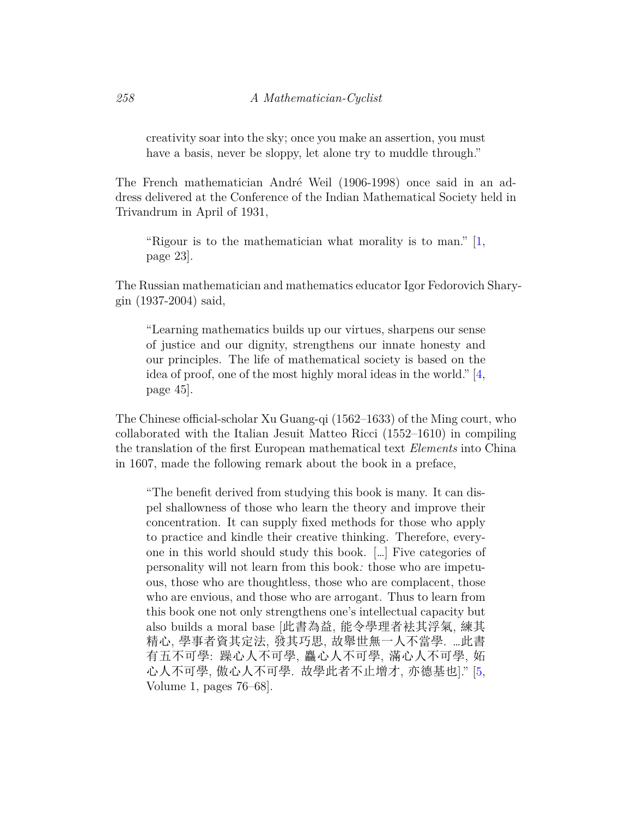creativity soar into the sky; once you make an assertion, you must have a basis, never be sloppy, let alone try to muddle through."

The French mathematician André Weil (1906-1998) once said in an address delivered at the Conference of the Indian Mathematical Society held in Trivandrum in April of 1931,

"Rigour is to the mathematician what morality is to man." [\[1](#page-4-1), page 23].

The Russian mathematician and mathematics educator Igor Fedorovich Sharygin (1937-2004) said,

"Learning mathematics builds up our virtues, sharpens our sense of justice and our dignity, strengthens our innate honesty and our principles. The life of mathematical society is based on the idea of proof, one of the most highly moral ideas in the world." [\[4](#page-4-2), page 45].

The Chinese official-scholar Xu Guang-qi (1562–1633) of the Ming court, who collaborated with the Italian Jesuit Matteo Ricci (1552–1610) in compiling the translation of the first European mathematical text *Elements* into China in 1607, made the following remark about the book in a preface,

"The benefit derived from studying this book is many. It can dispel shallowness of those who learn the theory and improve their concentration. It can supply fixed methods for those who apply to practice and kindle their creative thinking. Therefore, everyone in this world should study this book. […] Five categories of personality will not learn from this book*:* those who are impetuous, those who are thoughtless, those who are complacent, those who are envious, and those who are arrogant. Thus to learn from this book one not only strengthens one's intellectual capacity but also builds a moral base [此書為益, 能令學理者袪其浮氣, 練其 精心, 學事者資其定法, 發其巧思, 故舉世無一人不當學. …此書 有五不可學: 躁心人不可學, 麤心人不可學, 滿心人不可學, 妬 心人不可學, 傲心人不可學. 故學此者不止增才, 亦德基也]." [\[5](#page-4-3), Volume 1, pages 76–68].